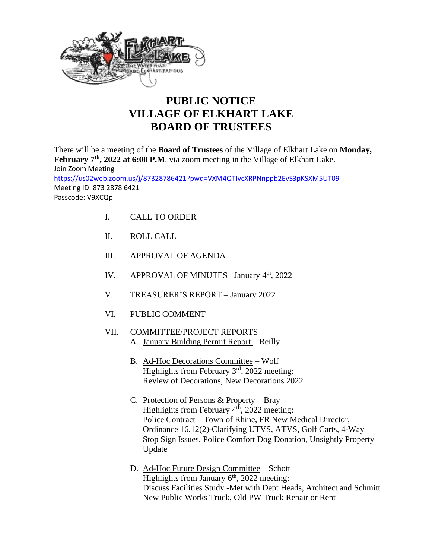

## **PUBLIC NOTICE VILLAGE OF ELKHART LAKE BOARD OF TRUSTEES**

There will be a meeting of the **Board of Trustees** of the Village of Elkhart Lake on **Monday,**  February 7<sup>th</sup>, 2022 at 6:00 P.M. via zoom meeting in the Village of Elkhart Lake. Join Zoom Meeting <https://us02web.zoom.us/j/87328786421?pwd=VXM4QTIvcXRPNnppb2EvS3pKSXM5UT09> Meeting ID: 873 2878 6421 Passcode: V9XCQp

- I. CALL TO ORDER
- II. ROLL CALL
- III. APPROVAL OF AGENDA
- IV. APPROVAL OF MINUTES January 4<sup>th</sup>, 2022
- V. TREASURER'S REPORT January 2022
- VI. PUBLIC COMMENT
- VII. COMMITTEE/PROJECT REPORTS A. January Building Permit Report – Reilly
	- B. Ad-Hoc Decorations Committee Wolf Highlights from February 3<sup>rd</sup>, 2022 meeting: Review of Decorations, New Decorations 2022
	- C. Protection of Persons & Property Bray Highlights from February  $4<sup>th</sup>$ , 2022 meeting: Police Contract – Town of Rhine, FR New Medical Director, Ordinance 16.12(2)-Clarifying UTVS, ATVS, Golf Carts, 4-Way Stop Sign Issues, Police Comfort Dog Donation, Unsightly Property Update
	- D. Ad-Hoc Future Design Committee Schott Highlights from January  $6<sup>th</sup>$ , 2022 meeting: Discuss Facilities Study -Met with Dept Heads, Architect and Schmitt New Public Works Truck, Old PW Truck Repair or Rent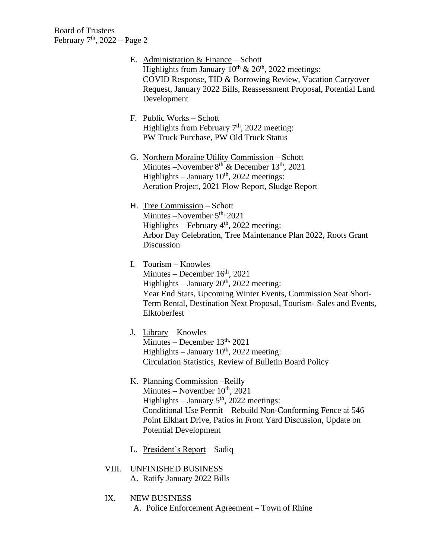- E. Administration & Finance Schott Highlights from January  $10^{th}$  &  $26^{th}$ , 2022 meetings: COVID Response, TID & Borrowing Review, Vacation Carryover Request, January 2022 Bills, Reassessment Proposal, Potential Land Development
- F. Public Works Schott Highlights from February  $7<sup>th</sup>$ , 2022 meeting: PW Truck Purchase, PW Old Truck Status
- G. Northern Moraine Utility Commission Schott Minutes –November  $8<sup>th</sup>$  & December  $13<sup>th</sup>$ , 2021 Highlights – January  $10^{th}$ , 2022 meetings: Aeration Project, 2021 Flow Report, Sludge Report
- H. Tree Commission Schott Minutes – November 5<sup>th,</sup> 2021 Highlights – February  $4<sup>th</sup>$ , 2022 meeting: Arbor Day Celebration, Tree Maintenance Plan 2022, Roots Grant Discussion
- I. Tourism Knowles  $Minutes - December 16<sup>th</sup>, 2021$ Highlights – January  $20<sup>th</sup>$ , 2022 meeting: Year End Stats, Upcoming Winter Events, Commission Seat Short-Term Rental, Destination Next Proposal, Tourism- Sales and Events, Elktoberfest
- J. Library Knowles Minutes – December  $13<sup>th</sup>$ , 2021 Highlights – January  $10^{th}$ , 2022 meeting: Circulation Statistics, Review of Bulletin Board Policy
- K. Planning Commission –Reilly Minutes – November  $10^{th}$ , 2021 Highlights – January  $5<sup>th</sup>$ , 2022 meetings: Conditional Use Permit – Rebuild Non-Conforming Fence at 546 Point Elkhart Drive, Patios in Front Yard Discussion, Update on Potential Development
- L. President's Report Sadiq
- VIII. UNFINISHED BUSINESS A. Ratify January 2022 Bills
- IX. NEW BUSINESS A. Police Enforcement Agreement – Town of Rhine